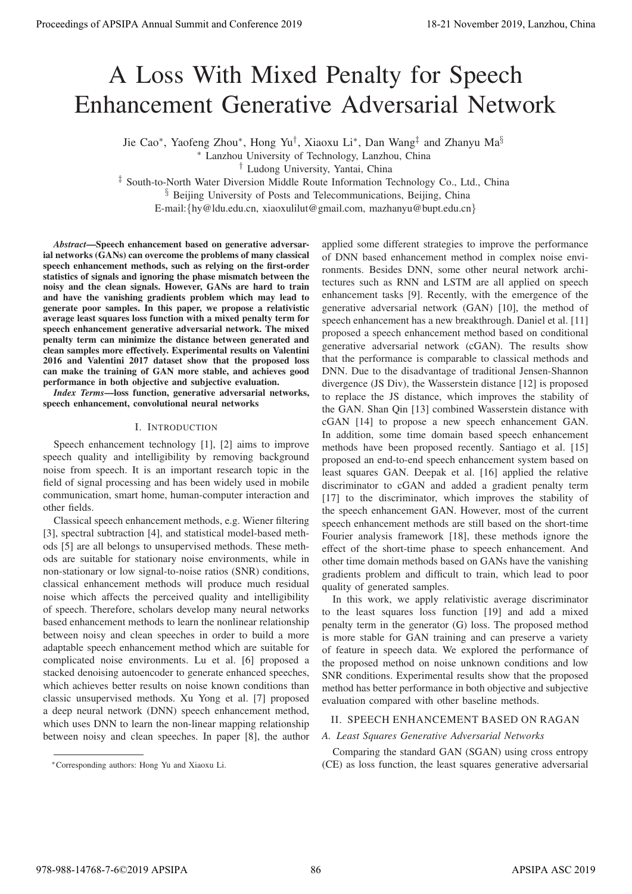# A Loss With Mixed Penalty for Speech Enhancement Generative Adversarial Network

Jie Cao∗, Yaofeng Zhou∗, Hong Yu†, Xiaoxu Li∗, Dan Wang‡ and Zhanyu Ma§

∗ Lanzhou University of Technology, Lanzhou, China

† Ludong University, Yantai, China

‡ South-to-North Water Diversion Middle Route Information Technology Co., Ltd., China

§ Beijing University of Posts and Telecommunications, Beijing, China

E-mail:{hy@ldu.edu.cn, xiaoxulilut@gmail.com, mazhanyu@bupt.edu.cn}

*Abstract*—Speech enhancement based on generative adversarial networks (GANs) can overcome the problems of many classical speech enhancement methods, such as relying on the first-order statistics of signals and ignoring the phase mismatch between the noisy and the clean signals. However, GANs are hard to train and have the vanishing gradients problem which may lead to generate poor samples. In this paper, we propose a relativistic average least squares loss function with a mixed penalty term for speech enhancement generative adversarial network. The mixed penalty term can minimize the distance between generated and clean samples more effectively. Experimental results on Valentini 2016 and Valentini 2017 dataset show that the proposed loss can make the training of GAN more stable, and achieves good performance in both objective and subjective evaluation.

*Index Terms*—loss function, generative adversarial networks, speech enhancement, convolutional neural networks

## I. INTRODUCTION

Speech enhancement technology [1], [2] aims to improve speech quality and intelligibility by removing background noise from speech. It is an important research topic in the field of signal processing and has been widely used in mobile communication, smart home, human-computer interaction and other fields.

Classical speech enhancement methods, e.g. Wiener filtering [3], spectral subtraction [4], and statistical model-based methods [5] are all belongs to unsupervised methods. These methods are suitable for stationary noise environments, while in non-stationary or low signal-to-noise ratios (SNR) conditions, classical enhancement methods will produce much residual noise which affects the perceived quality and intelligibility of speech. Therefore, scholars develop many neural networks based enhancement methods to learn the nonlinear relationship between noisy and clean speeches in order to build a more adaptable speech enhancement method which are suitable for complicated noise environments. Lu et al. [6] proposed a stacked denoising autoencoder to generate enhanced speeches, which achieves better results on noise known conditions than classic unsupervised methods. Xu Yong et al. [7] proposed a deep neural network (DNN) speech enhancement method, which uses DNN to learn the non-linear mapping relationship between noisy and clean speeches. In paper [8], the author

∗Corresponding authors: Hong Yu and Xiaoxu Li.

applied some different strategies to improve the performance of DNN based enhancement method in complex noise environments. Besides DNN, some other neural network architectures such as RNN and LSTM are all applied on speech enhancement tasks [9]. Recently, with the emergence of the generative adversarial network (GAN) [10], the method of speech enhancement has a new breakthrough. Daniel et al. [11] proposed a speech enhancement method based on conditional generative adversarial network (cGAN). The results show that the performance is comparable to classical methods and DNN. Due to the disadvantage of traditional Jensen-Shannon divergence (JS Div), the Wasserstein distance [12] is proposed to replace the JS distance, which improves the stability of the GAN. Shan Qin [13] combined Wasserstein distance with cGAN [14] to propose a new speech enhancement GAN. In addition, some time domain based speech enhancement methods have been proposed recently. Santiago et al. [15] proposed an end-to-end speech enhancement system based on least squares GAN. Deepak et al. [16] applied the relative discriminator to cGAN and added a gradient penalty term [17] to the discriminator, which improves the stability of the speech enhancement GAN. However, most of the current speech enhancement methods are still based on the short-time Fourier analysis framework [18], these methods ignore the effect of the short-time phase to speech enhancement. And other time domain methods based on GANs have the vanishing gradients problem and difficult to train, which lead to poor quality of generated samples. **Procedure of APSIPA Annual Summit at Co-Co-co-2019**<br>
A LOSS With Mixed Penalty for Speech Enhancement Annual Summit and Conference 2019<br>  $\frac{1}{2}$  Sun Summit and Conference 2019<br>  $\frac{1}{2}$  Sun Summit and Conference 2019<br>

In this work, we apply relativistic average discriminator to the least squares loss function [19] and add a mixed penalty term in the generator (G) loss. The proposed method is more stable for GAN training and can preserve a variety of feature in speech data. We explored the performance of the proposed method on noise unknown conditions and low SNR conditions. Experimental results show that the proposed method has better performance in both objective and subjective evaluation compared with other baseline methods.

#### II. SPEECH ENHANCEMENT BASED ON RAGAN

## *A. Least Squares Generative Adversarial Networks*

Comparing the standard GAN (SGAN) using cross entropy (CE) as loss function, the least squares generative adversarial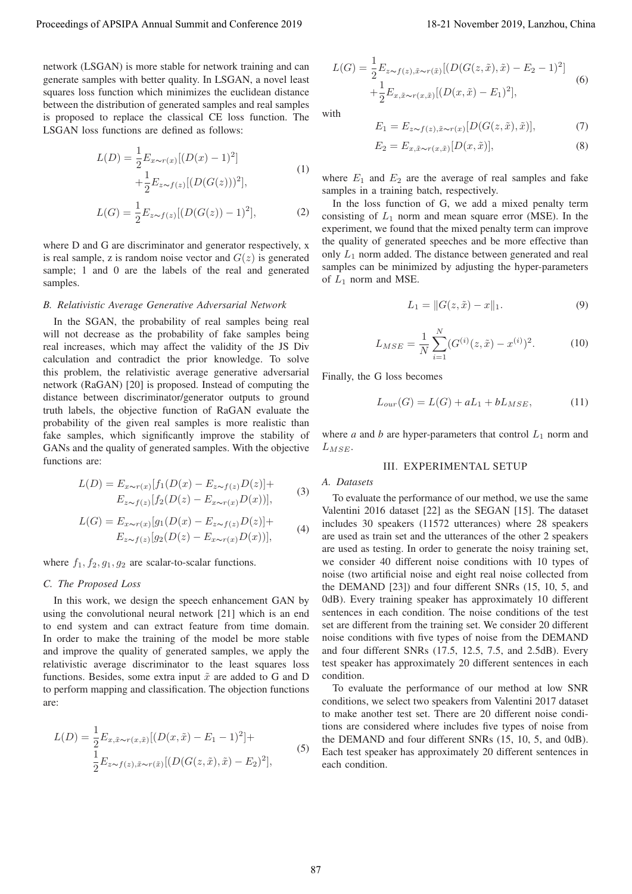network (LSGAN) is more stable for network training and can generate samples with better quality. In LSGAN, a novel least squares loss function which minimizes the euclidean distance between the distribution of generated samples and real samples is proposed to replace the classical CE loss function. The LSGAN loss functions are defined as follows:

$$
L(D) = \frac{1}{2} E_{x \sim r(x)} [(D(x) - 1)^2]
$$
  
 
$$
+ \frac{1}{2} E_{z \sim f(z)} [(D(G(z)))^2],
$$
 (1)

$$
L(G) = \frac{1}{2} E_{z \sim f(z)} [(D(G(z)) - 1)^2],
$$
 (2)

where D and G are discriminator and generator respectively, x is real sample, z is random noise vector and  $G(z)$  is generated sample; 1 and 0 are the labels of the real and generated samples.

#### *B. Relativistic Average Generative Adversarial Network*

In the SGAN, the probability of real samples being real will not decrease as the probability of fake samples being real increases, which may affect the validity of the JS Div calculation and contradict the prior knowledge. To solve this problem, the relativistic average generative adversarial network (RaGAN) [20] is proposed. Instead of computing the distance between discriminator/generator outputs to ground truth labels, the objective function of RaGAN evaluate the probability of the given real samples is more realistic than fake samples, which significantly improve the stability of GANs and the quality of generated samples. With the objective functions are:

$$
L(D) = E_{x \sim r(x)}[f_1(D(x) - E_{z \sim f(z)}D(z)] +
$$
  
\n
$$
E_{z \sim f(z)}[f_2(D(z) - E_{x \sim r(x)}D(x))],
$$
\n(3)

$$
L(G) = E_{x \sim r(x)}[g_1(D(x) - E_{z \sim f(z)}D(z)] +
$$
  
\n
$$
E_{z \sim f(z)}[g_2(D(z) - E_{x \sim r(x)}D(x))],
$$
\n(4)

where  $f_1, f_2, g_1, g_2$  are scalar-to-scalar functions.

## *C. The Proposed Loss*

In this work, we design the speech enhancement GAN by using the convolutional neural network [21] which is an end to end system and can extract feature from time domain. In order to make the training of the model be more stable and improve the quality of generated samples, we apply the relativistic average discriminator to the least squares loss functions. Besides, some extra input  $\tilde{x}$  are added to G and D to perform mapping and classification. The objection functions are:

$$
L(D) = \frac{1}{2} E_{x, \tilde{x} \sim r(x, \tilde{x})} [(D(x, \tilde{x}) - E_1 - 1)^2] +
$$
  
\n
$$
\frac{1}{2} E_{z \sim f(z), \tilde{x} \sim r(\tilde{x})} [(D(G(z, \tilde{x}), \tilde{x}) - E_2)^2],
$$
\n(5)

$$
L(G) = \frac{1}{2} E_{z \sim f(z), \tilde{x} \sim r(\tilde{x})} [(D(G(z, \tilde{x}), \tilde{x}) - E_2 - 1)^2] + \frac{1}{2} E_{x, \tilde{x} \sim r(x, \tilde{x})} [(D(x, \tilde{x}) - E_1)^2],
$$
\n(6)

with

$$
E_1 = E_{z \sim f(z), \tilde{x} \sim r(x)} [D(G(z, \tilde{x}), \tilde{x})], \tag{7}
$$

$$
E_2 = E_{x, \tilde{x} \sim r(x, \tilde{x})} [D(x, \tilde{x})], \tag{8}
$$

where  $E_1$  and  $E_2$  are the average of real samples and fake samples in a training batch, respectively.

In the loss function of G, we add a mixed penalty term consisting of  $L_1$  norm and mean square error (MSE). In the experiment, we found that the mixed penalty term can improve the quality of generated speeches and be more effective than only  $L_1$  norm added. The distance between generated and real samples can be minimized by adjusting the hyper-parameters of  $L_1$  norm and MSE.

$$
L_1 = ||G(z, \tilde{x}) - x||_1.
$$
 (9)

$$
L_{MSE} = \frac{1}{N} \sum_{i=1}^{N} (G^{(i)}(z, \tilde{x}) - x^{(i)})^2.
$$
 (10)

Finally, the G loss becomes

$$
L_{our}(G) = L(G) + aL_1 + bL_{MSE},\tag{11}
$$

where  $a$  and  $b$  are hyper-parameters that control  $L_1$  norm and  $L_{MSE}$ .

## III. EXPERIMENTAL SETUP

*A. Datasets*

To evaluate the performance of our method, we use the same Valentini 2016 dataset [22] as the SEGAN [15]. The dataset includes 30 speakers (11572 utterances) where 28 speakers are used as train set and the utterances of the other 2 speakers are used as testing. In order to generate the noisy training set, we consider 40 different noise conditions with 10 types of noise (two artificial noise and eight real noise collected from the DEMAND [23]) and four different SNRs (15, 10, 5, and 0dB). Every training speaker has approximately 10 different sentences in each condition. The noise conditions of the test set are different from the training set. We consider 20 different noise conditions with five types of noise from the DEMAND and four different SNRs (17.5, 12.5, 7.5, and 2.5dB). Every test speaker has approximately 20 different sentences in each condition. Proceeding of APSIPA Annual Summit at Co-Fis-a-2019<br>
The station of the station of the station of the station of the station of the station of the station of the stationary of the stationary in the stationary of the stati

To evaluate the performance of our method at low SNR conditions, we select two speakers from Valentini 2017 dataset to make another test set. There are 20 different noise conditions are considered where includes five types of noise from the DEMAND and four different SNRs (15, 10, 5, and 0dB). Each test speaker has approximately 20 different sentences in each condition.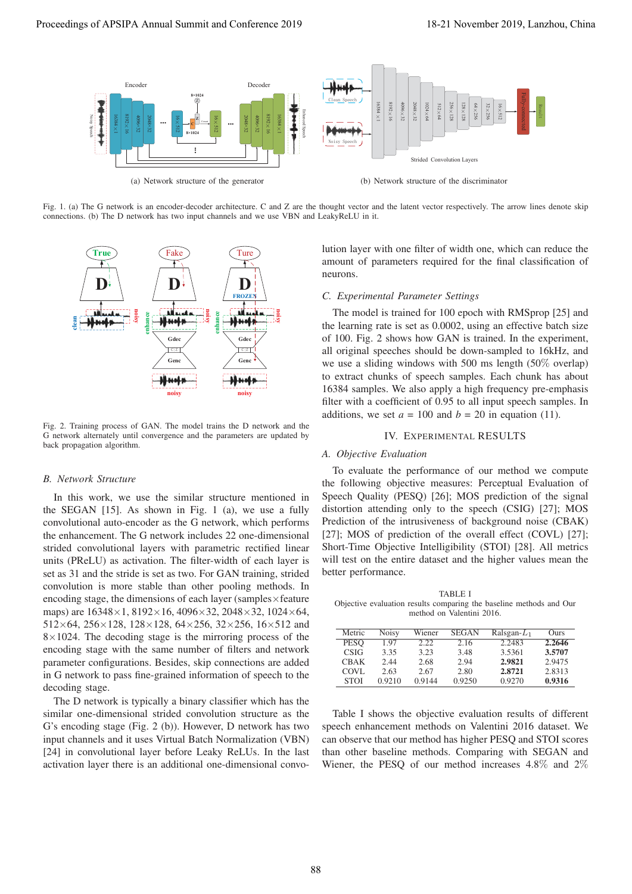

Fig. 1. (a) The G network is an encoder-decoder architecture. C and Z are the thought vector and the latent vector respectively. The arrow lines denote skip connections. (b) The D network has two input channels and we use VBN and LeakyReLU in it.



Fig. 2. Training process of GAN. The model trains the D network and the G network alternately until convergence and the parameters are updated by back propagation algorithm.

#### *B. Network Structure*

In this work, we use the similar structure mentioned in the SEGAN [15]. As shown in Fig. 1 (a), we use a fully convolutional auto-encoder as the G network, which performs the enhancement. The G network includes 22 one-dimensional strided convolutional layers with parametric rectified linear units (PReLU) as activation. The filter-width of each layer is set as 31 and the stride is set as two. For GAN training, strided convolution is more stable than other pooling methods. In encoding stage, the dimensions of each layer (samples $\times$ feature maps) are 16348×1, 8192×16, 4096×32, 2048×32, 1024×64,  $512\times64$ ,  $256\times128$ ,  $128\times128$ ,  $64\times256$ ,  $32\times256$ ,  $16\times512$  and  $8\times1024$ . The decoding stage is the mirroring process of the encoding stage with the same number of filters and network parameter configurations. Besides, skip connections are added in G network to pass fine-grained information of speech to the decoding stage.

The D network is typically a binary classifier which has the similar one-dimensional strided convolution structure as the G's encoding stage (Fig. 2 (b)). However, D network has two input channels and it uses Virtual Batch Normalization (VBN) [24] in convolutional layer before Leaky ReLUs. In the last activation layer there is an additional one-dimensional convolution layer with one filter of width one, which can reduce the amount of parameters required for the final classification of neurons.

#### *C. Experimental Parameter Settings*

The model is trained for 100 epoch with RMSprop [25] and the learning rate is set as 0.0002, using an effective batch size of 100. Fig. 2 shows how GAN is trained. In the experiment, all original speeches should be down-sampled to 16kHz, and we use a sliding windows with 500 ms length (50% overlap) to extract chunks of speech samples. Each chunk has about 16384 samples. We also apply a high frequency pre-emphasis filter with a coefficient of 0.95 to all input speech samples. In additions, we set  $a = 100$  and  $b = 20$  in equation (11).

# IV. EXPERIMENTAL RESULTS

## *A. Objective Evaluation*

To evaluate the performance of our method we compute the following objective measures: Perceptual Evaluation of Speech Quality (PESQ) [26]; MOS prediction of the signal distortion attending only to the speech (CSIG) [27]; MOS Prediction of the intrusiveness of background noise (CBAK) [27]; MOS of prediction of the overall effect (COVL) [27]; Short-Time Objective Intelligibility (STOI) [28]. All metrics will test on the entire dataset and the higher values mean the better performance.

TABLE I Objective evaluation results comparing the baseline methods and Our method on Valentini 2016.

| Metric      | <b>Noisy</b> | Wiener | <b>SEGAN</b> | Ralsgan- $L_1$ | Ours   |
|-------------|--------------|--------|--------------|----------------|--------|
| <b>PESO</b> | 1.97         | 2.22   | 2.16         | 2.2483         | 2.2646 |
| <b>CSIG</b> | 3.35         | 3.23   | 3.48         | 3.5361         | 3.5707 |
| <b>CBAK</b> | 2.44         | 2.68   | 2.94         | 2.9821         | 2.9475 |
| COVL        | 2.63         | 2.67   | 2.80         | 2.8721         | 2.8313 |
| <b>STOI</b> | 0.9210       | 0.9144 | 0.9250       | 0.9270         | 0.9316 |

Table I shows the objective evaluation results of different speech enhancement methods on Valentini 2016 dataset. We can observe that our method has higher PESQ and STOI scores than other baseline methods. Comparing with SEGAN and Wiener, the PESQ of our method increases 4.8% and 2%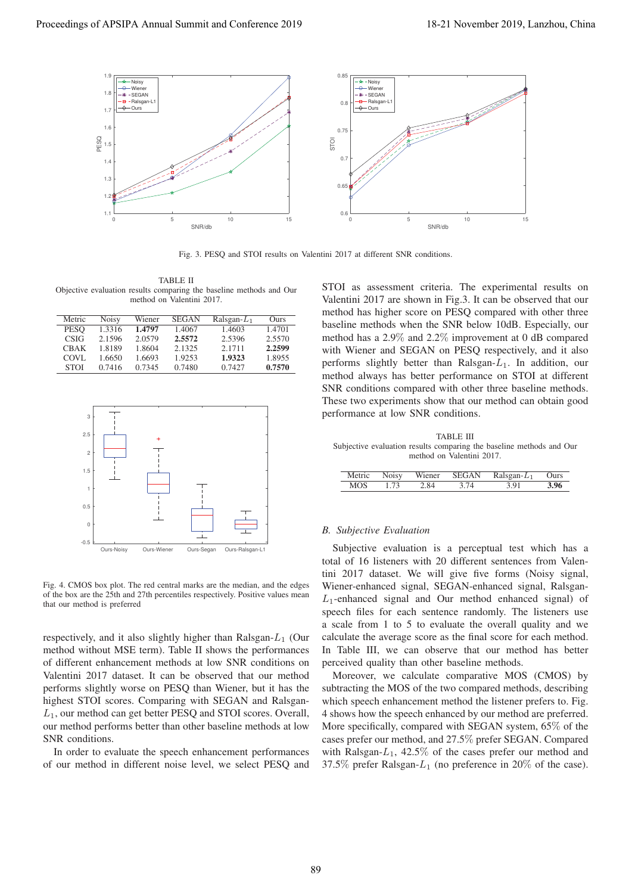

Fig. 3. PESQ and STOI results on Valentini 2017 at different SNR conditions.

TABLE II Objective evaluation results comparing the baseline methods and Our method on Valentini 2017.

| Metric      | <b>Noisy</b> | Wiener | <b>SEGAN</b> | Ralsgan- $L_1$ | Ours   |
|-------------|--------------|--------|--------------|----------------|--------|
| <b>PESO</b> | 1.3316       | 1.4797 | 1.4067       | 1.4603         | 1.4701 |
| <b>CSIG</b> | 2.1596       | 2.0579 | 2.5572       | 2.5396         | 2.5570 |
| CBAK        | 1.8189       | 1.8604 | 2.1325       | 2.1711         | 2.2599 |
| COVL        | 1.6650       | 1.6693 | 1.9253       | 1.9323         | 1.8955 |
| <b>STOL</b> | 0.7416       | 0.7345 | 0.7480       | 0.7427         | 0.7570 |



Fig. 4. CMOS box plot. The red central marks are the median, and the edges of the box are the 25th and 27th percentiles respectively. Positive values mean that our method is preferred

respectively, and it also slightly higher than Ralsgan- $L_1$  (Our method without MSE term). Table II shows the performances of different enhancement methods at low SNR conditions on Valentini 2017 dataset. It can be observed that our method performs slightly worse on PESQ than Wiener, but it has the highest STOI scores. Comparing with SEGAN and Ralsgan-<sup>L</sup>1, our method can get better PESQ and STOI scores. Overall, our method performs better than other baseline methods at low SNR conditions.

In order to evaluate the speech enhancement performances of our method in different noise level, we select PESQ and STOI as assessment criteria. The experimental results on Valentini 2017 are shown in Fig.3. It can be observed that our method has higher score on PESQ compared with other three baseline methods when the SNR below 10dB. Especially, our method has a 2.9% and 2.2% improvement at 0 dB compared with Wiener and SEGAN on PESQ respectively, and it also performs slightly better than Ralsgan- $L_1$ . In addition, our method always has better performance on STOI at different SNR conditions compared with other three baseline methods. These two experiments show that our method can obtain good performance at low SNR conditions.

TABLE III Subjective evaluation results comparing the baseline methods and Our method on Valentini 2017.

|              |      |      | Metric Noisy Wiener SEGAN Ralsgan- $L_1$ Ours |      |
|--------------|------|------|-----------------------------------------------|------|
| $MOS = 1.73$ | 2.84 | 3.74 | 3.91                                          | 3.96 |

#### *B. Subjective Evaluation*

Subjective evaluation is a perceptual test which has a total of 16 listeners with 20 different sentences from Valentini 2017 dataset. We will give five forms (Noisy signal, Wiener-enhanced signal, SEGAN-enhanced signal, Ralsgan- $L_1$ -enhanced signal and Our method enhanced signal) of speech files for each sentence randomly. The listeners use a scale from 1 to 5 to evaluate the overall quality and we calculate the average score as the final score for each method. In Table III, we can observe that our method has better perceived quality than other baseline methods.

Moreover, we calculate comparative MOS (CMOS) by subtracting the MOS of the two compared methods, describing which speech enhancement method the listener prefers to. Fig. 4 shows how the speech enhanced by our method are preferred. More specifically, compared with SEGAN system, 65% of the cases prefer our method, and 27.5% prefer SEGAN. Compared with Ralsgan- $L_1$ , 42.5% of the cases prefer our method and 37.5% prefer Ralsgan- $L_1$  (no preference in 20% of the case).